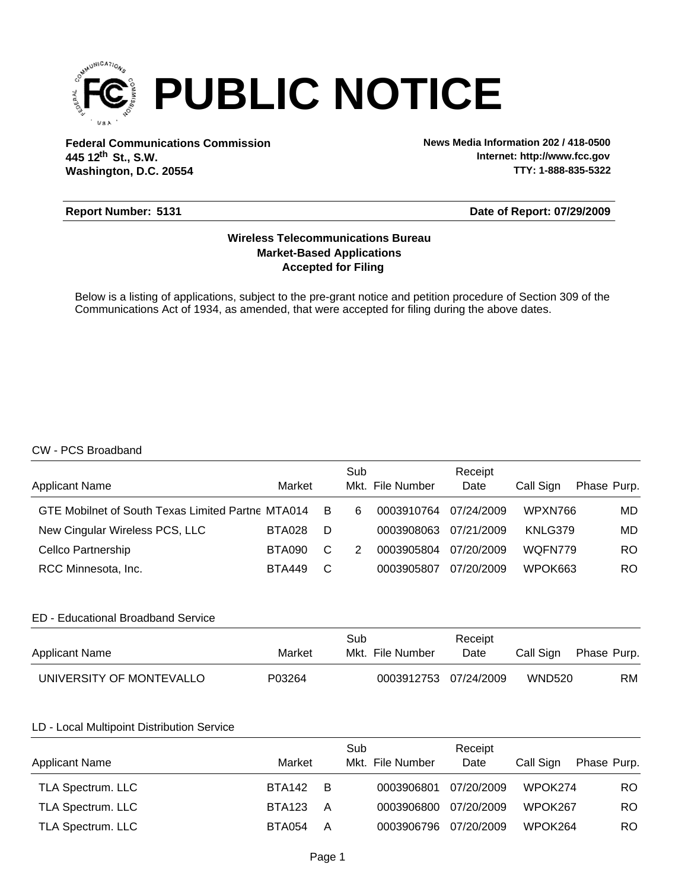

**Federal Communications Commission News Media Information 202 / 418-0500 Washington, D.C. 20554 th 445 12 St., S.W.**

**Internet: http://www.fcc.gov TTY: 1-888-835-5322**

#### **Report Number: 5131**

#### **Date of Report: 07/29/2009**

## **Accepted for Filing Market-Based Applications Wireless Telecommunications Bureau**

Below is a listing of applications, subject to the pre-grant notice and petition procedure of Section 309 of the Communications Act of 1934, as amended, that were accepted for filing during the above dates.

## CW - PCS Broadband

| <b>Applicant Name</b>                             | Market        |     | Sub | Mkt. File Number | Receipt<br>Date | Call Sign | Phase Purp. |
|---------------------------------------------------|---------------|-----|-----|------------------|-----------------|-----------|-------------|
| GTE Mobilnet of South Texas Limited Partne MTA014 |               | - B | 6   | 0003910764       | 07/24/2009      | WPXN766   | MD.         |
| New Cingular Wireless PCS, LLC                    | <b>BTA028</b> | D   |     | 0003908063       | 07/21/2009      | KNLG379   | MD.         |
| Cellco Partnership                                | BTA090        | C   | 2   | 0003905804       | 07/20/2009      | WOFN779   | RO.         |
| RCC Minnesota, Inc.                               | <b>BTA449</b> | C   |     | 0003905807       | 07/20/2009      | WPOK663   | RO.         |

## ED - Educational Broadband Service

| <b>Applicant Name</b>    | Market | Sub<br>Mkt. File Number | Receipt<br>Date | Call Sign     | Phase Purp. |
|--------------------------|--------|-------------------------|-----------------|---------------|-------------|
| UNIVERSITY OF MONTEVALLO | P03264 | 0003912753 07/24/2009   |                 | <b>WND520</b> | RM          |

#### LD - Local Multipoint Distribution Service

| <b>Applicant Name</b>    | Market        |     | Sub<br>Mkt. File Number | Receipt<br>Date | Call Sign | Phase Purp. |
|--------------------------|---------------|-----|-------------------------|-----------------|-----------|-------------|
| TLA Spectrum. LLC        | <b>BTA142</b> | - B | 0003906801              | 07/20/2009      | WPOK274   | RO.         |
| <b>TLA Spectrum. LLC</b> | <b>BTA123</b> | A   | 0003906800              | 07/20/2009      | WPOK267   | RO.         |
| <b>TLA Spectrum. LLC</b> | BTA054        | A   | 0003906796 07/20/2009   |                 | WPOK264   | RO.         |